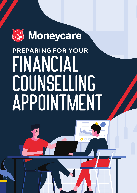

Moneycare

# PREPARING FOR YOUR FINANCIAL **COUNSELLING** APPOINTMENT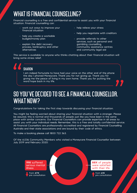#### WHAT IS FINANCIAL COUNSELLING?

Financial counselling is a free and confidential service to assist you with your financial situation. Financial counselling can:

- work out ways to improve your financial situation
- help you create a workable budget/money plan
- explain the debt recovery process, bankruptcy and other alternatives
- help relieve your stress
- $\cdot$  help you negotiate with creditors
- provide referrals to other services, such as personal and gambling counselling, community assistance centres and community legal aid

This service is available to anyone who thinks chatting about their financial situation will bring some stress relief.

#### **SHARON**

I am indeed fortunate to have had your voice on the other end of the phone the day I phoned Moneycare. Thank you for not giving up. Thank you for giving me the peace of living in my own home. Thank you for putting the word hope back in my life.

#### So you've decided to see a financial counsellor. WHAT NOW?

Congratulations for taking the first step towards discussing your financial situation.

You might be feeling worried about sharing your financial situation with a stranger. Please be assured, this is normal and thousands of people just like you have been in the same place with similar concerns. Our Financial Counsellors can provide expertise in all areas to assist you with your individual needs. Remember, this is a free and totally confidential service. All Financial Counsellors are professionally accredited and registered by Financial Counselling Australia and their state associations and are bound by their code of ethics.

To make a booking please call 1800 722 363.

Of the 4,036 Community Members who visited a Moneycare Financial Counsellor between July 2019 and February 2020:

> 19% suffered serious mental illness from 47% pre consultation 88% of people were satisfied with their life from 61% pre consultation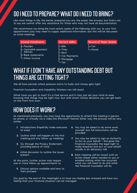### DO I NEED TO PREPARE? WHAT DO I NEED TO BRING?

Like most things in life, the better prepared you are, the easier the process, but that's not to say we cannot offer any assistance for those who may not have all documentation.

We recommend you bring the most recent copies of the following with you to your first appointment (you may need to supply additional information, but this will be discussed at initial meeting):

#### Income Statements

- **Payslips**
- Centrelink payment advices
- Bank statements
- Other income
- Current debts
- Bills
- Fines
- Rent

**Tax** 

- Car Payments
- **Mortgage**
- Car House

Record of Major Assets

#### WHAT IF I DON'T HAVE ANY OUTSTANDING DEBT BUT THINGS ARE GETTING TIGHT?

We all have periods where pressure starts to build, and money gets tight.

Financial Counsellors and Capability Workers can still assist.

What have you got to lose? It's a free service and it may just set your mind at ease knowing that things may be tight now, but with smart money decisions you can get back on the front foot soon.

#### HOW DOES IT WORK?

As mentioned previously, you may have the opportunity to attend the meeting in person, by phone, or virtually via a video link (Microsoft Teams). Either way the process will be very similar:

- 1. Introductions (hopefully make everyone at ease)
- 2. Outline what will happen at the first meeting,and any follow up meetings
- 3. Go through the Privacy Statement, providing peace of mind
- 4. Initial discussion to outline the issues present

At this point, further action may require, one or more follow up appointments to:

5. Discuss options available and how to then proceed

- 6. You may be asked to do some work yourself, but full instructions will be provided
- 7. You may be asked to sign an Authority to Act on your behalf – this gives the Financial Counsellor the legal right to make enquiries and act on your behalf, usually in an advocacy role
- 8. Each meeting will be closed with an Action Sheet either handed to you or emailed stating what has occurred, what you will need to do and what the Financial Counsellor will do

Our goal by the end of the meeting(s) is to have you feeling less stressed and have you feeling that your financial situation can be managed.